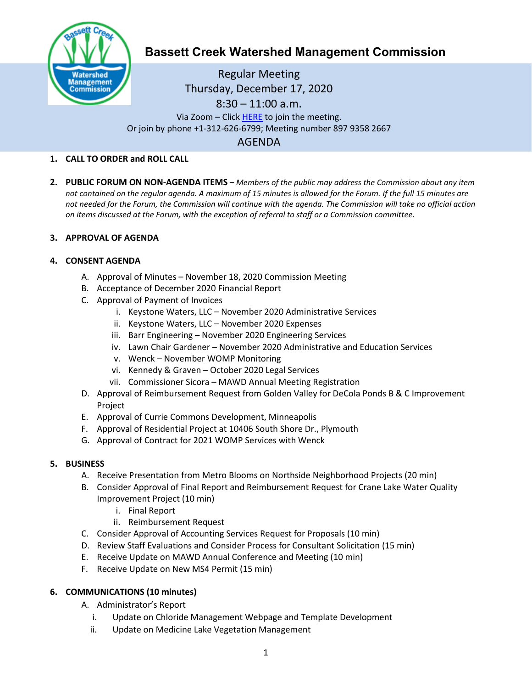

# **Bassett Creek Watershed Management Commission**

Regular Meeting Thursday, December 17, 2020 8:30 – 11:00 a.m. Via Zoom – Clic[k HERE](https://us02web.zoom.us/j/89793582667) to join the meeting. Or join by phone +1-312-626-6799; Meeting number 897 9358 2667 AGENDA

# **1. CALL TO ORDER and ROLL CALL**

**2. PUBLIC FORUM ON NON-AGENDA ITEMS –** *Members of the public may address the Commission about any item not contained on the regular agenda. A maximum of 15 minutes is allowed for the Forum. If the full 15 minutes are not needed for the Forum, the Commission will continue with the agenda. The Commission will take no official action on items discussed at the Forum, with the exception of referral to staff or a Commission committee.*

# **3. APPROVAL OF AGENDA**

# **4. CONSENT AGENDA**

- A. Approval of Minutes November 18, 2020 Commission Meeting
- B. Acceptance of December 2020 Financial Report
- C. Approval of Payment of Invoices
	- i. Keystone Waters, LLC November 2020 Administrative Services
	- ii. Keystone Waters, LLC November 2020 Expenses
	- iii. Barr Engineering November 2020 Engineering Services
	- iv. Lawn Chair Gardener November 2020 Administrative and Education Services
	- v. Wenck November WOMP Monitoring
	- vi. Kennedy & Graven October 2020 Legal Services
	- vii. Commissioner Sicora MAWD Annual Meeting Registration
- D. Approval of Reimbursement Request from Golden Valley for DeCola Ponds B & C Improvement Project
- E. Approval of Currie Commons Development, Minneapolis
- F. Approval of Residential Project at 10406 South Shore Dr., Plymouth
- G. Approval of Contract for 2021 WOMP Services with Wenck

#### **5. BUSINESS**

- A. Receive Presentation from Metro Blooms on Northside Neighborhood Projects (20 min)
- B. Consider Approval of Final Report and Reimbursement Request for Crane Lake Water Quality Improvement Project (10 min)
	- i. Final Report
	- ii. Reimbursement Request
- C. Consider Approval of Accounting Services Request for Proposals (10 min)
- D. Review Staff Evaluations and Consider Process for Consultant Solicitation (15 min)
- E. Receive Update on MAWD Annual Conference and Meeting (10 min)
- F. Receive Update on New MS4 Permit (15 min)

# **6. COMMUNICATIONS (10 minutes)**

- A. Administrator's Report
	- i. Update on Chloride Management Webpage and Template Development
	- ii. Update on Medicine Lake Vegetation Management